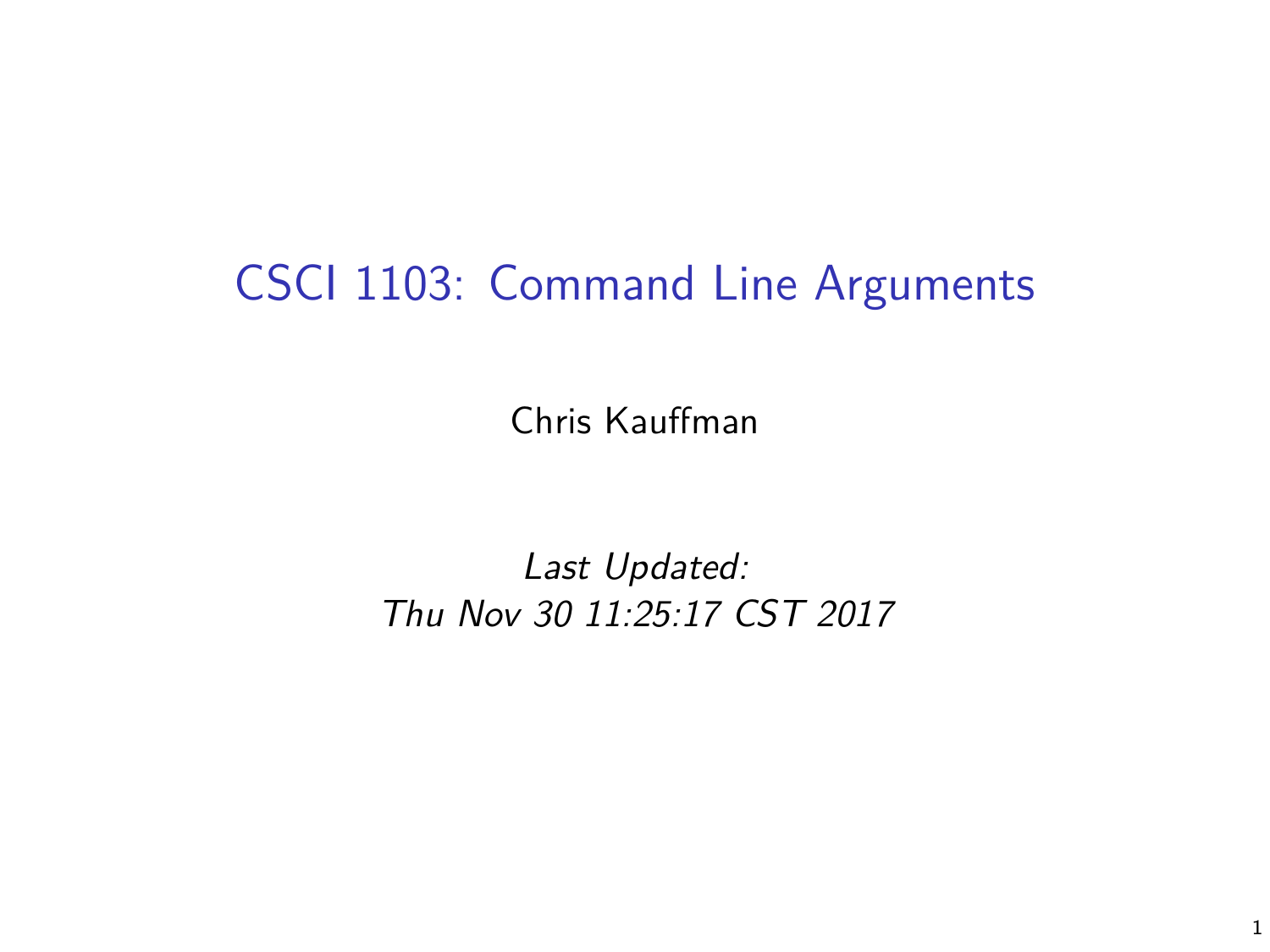## CSCI 1103: Command Line Arguments

Chris Kauffman

Last Updated: Thu Nov 30 11:25:17 CST 2017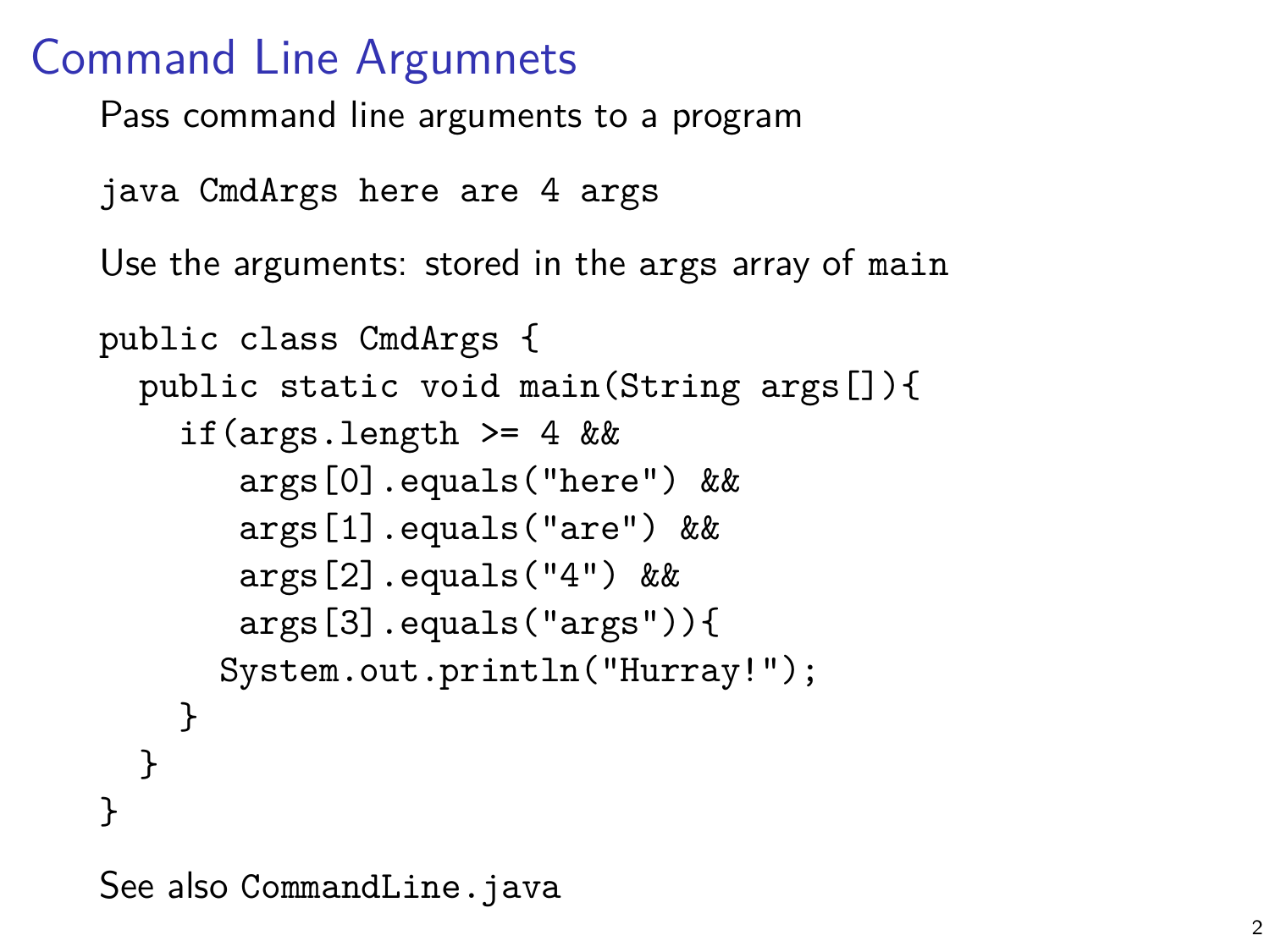#### Command Line Argumnets

Pass command line arguments to a program

```
java CmdArgs here are 4 args
```
Use the arguments: stored in the args array of main

```
public class CmdArgs {
  public static void main(String args[]){
    if(args.length >= 4 & &
       args[0].equals("here") &&
       args[1].equals("are") &&
       args[2].equals("4") &&
       args[3].equals("args")){
      System.out.println("Hurray!");
    }
 }
}
```
See also CommandLine.java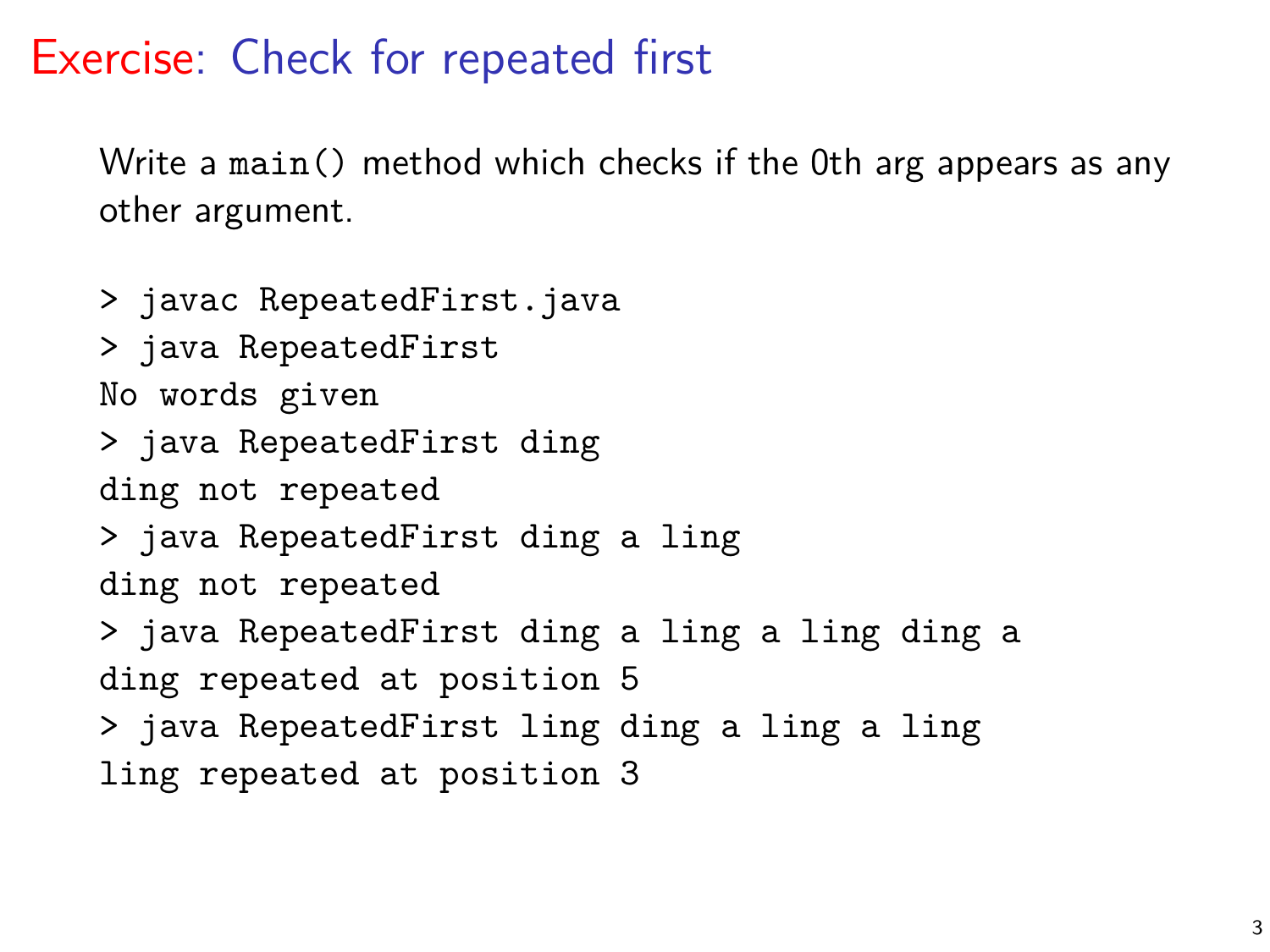### Exercise: Check for repeated first

Write a main() method which checks if the 0th arg appears as any other argument.

> javac RepeatedFirst.java > java RepeatedFirst No words given > java RepeatedFirst ding ding not repeated > java RepeatedFirst ding a ling ding not repeated > java RepeatedFirst ding a ling a ling ding a ding repeated at position 5 > java RepeatedFirst ling ding a ling a ling ling repeated at position 3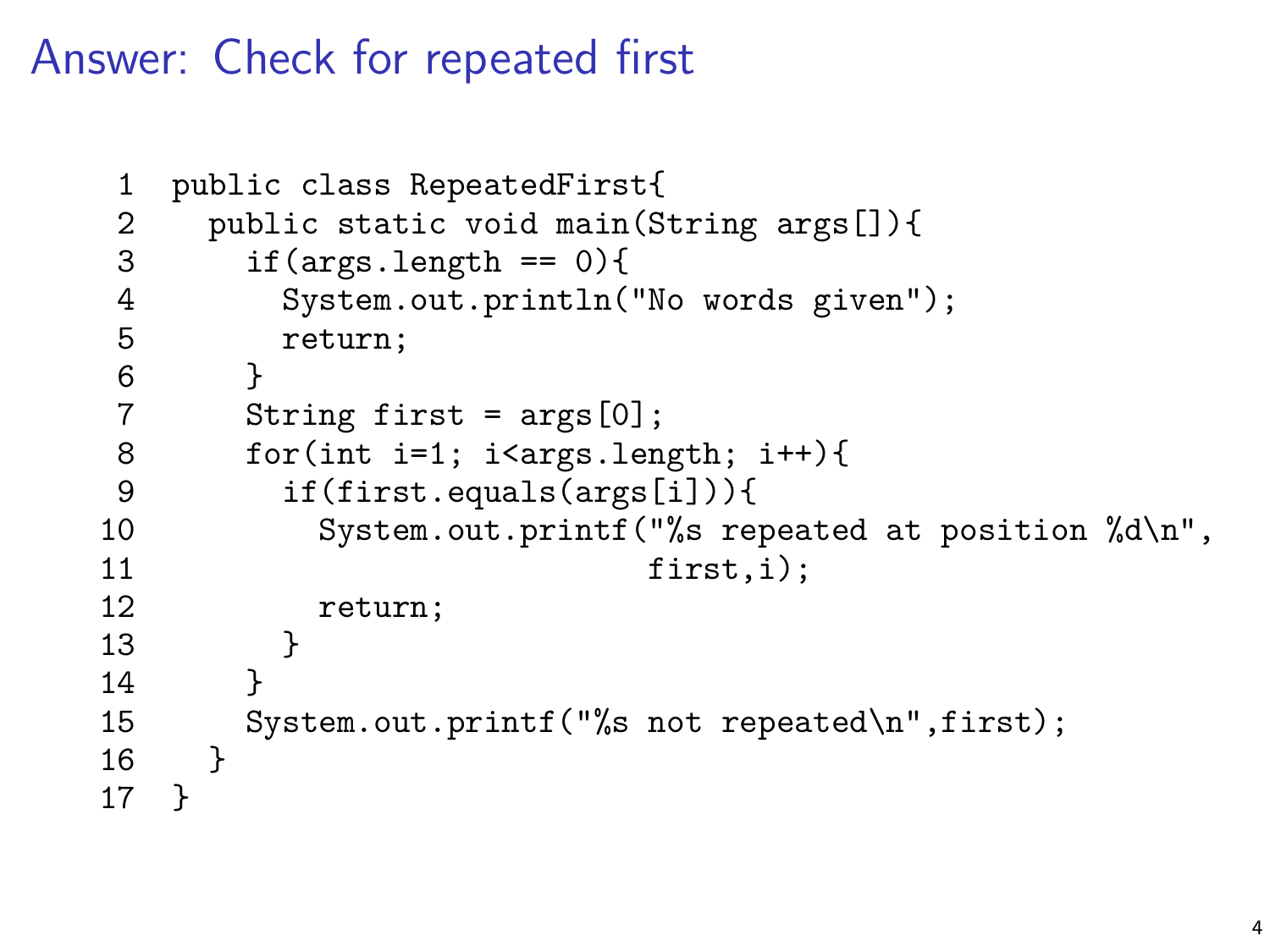Answer: Check for repeated first

```
1 public class RepeatedFirst{<br>2 public static void main(S
 2 public static void main(String args[]){<br>3 if(args.length == 0){
 3 if(args.length == 0){
           System.out.println("No words given");
 5 return;
\begin{array}{ccc} 6 & & \rightarrow \\ 7 & & \text{S} \end{array}String first = \arg s[0];
8 for(int i=1; i<args.length; i++){<br>9 if(first.equals(args[i])){
           9 if(first.equals(args[i])){
10 System.out.printf("%s repeated at position %d\n",
11 first,i);
12 return;<br>13 }
13 }
14 }
15 System.out.printf("%s not repeated\n",first);
16 }
17 }
```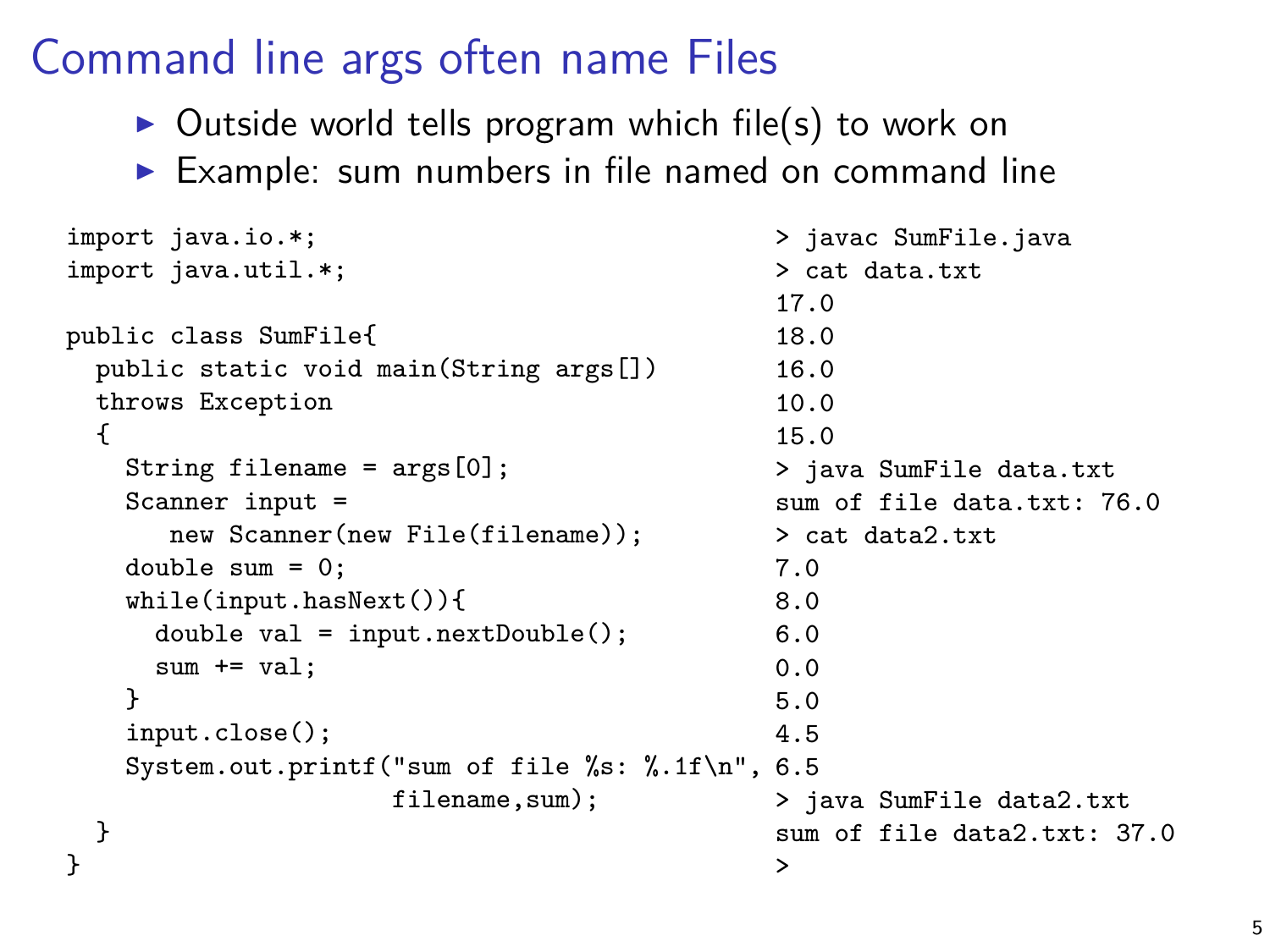# Command line args often name Files

- $\triangleright$  Outside world tells program which file(s) to work on
- $\triangleright$  Example: sum numbers in file named on command line

```
import java.io.*;
import java.util.*;
public class SumFile{
  public static void main(String args[])
  throws Exception
  {
    String filename = args[0];
    Scanner input =
       new Scanner(new File(filename));
    double sum = 0;
    while(input.hasNext()){
      double val = input.nextDouble();
      sum += val:
    }
    input.close();
    System.out.printf("sum of file %s: %.1f\n",
6.5
                      filename, sum);
  }
}
                                                  > javac SumFile.java
                                                  > cat data.txt
                                                  17.0
                                                  18.0
                                                  16.0
                                                  10.0
                                                  15.0
                                                  > java SumFile data.txt
                                                  sum of file data.txt: 76.0
                                                 > cat data2.txt
                                                 7.0
                                                 8.0
                                                 6.0
                                                  0.0
                                                  5.0
                                                 4.5
                                                  > java SumFile data2.txt
                                                  sum of file data2.txt: 37.0
                                                  >
```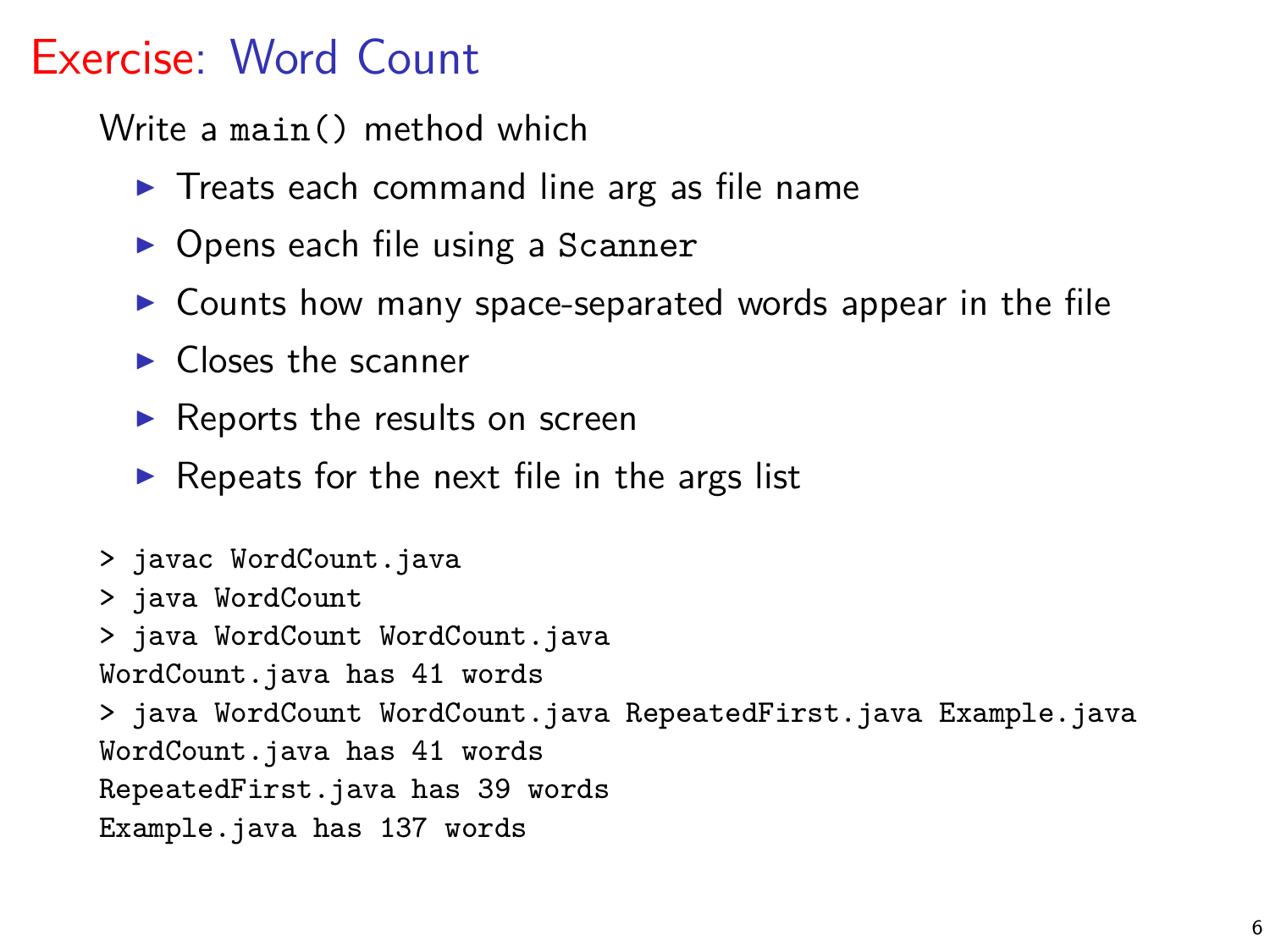## Exercise: Word Count

Write a main() method which

- $\triangleright$  Treats each command line arg as file name
- $\triangleright$  Opens each file using a Scanner
- $\triangleright$  Counts how many space-separated words appear in the file
- $\blacktriangleright$  Closes the scanner
- $\blacktriangleright$  Reports the results on screen
- $\triangleright$  Repeats for the next file in the args list

> javac WordCount.java > java WordCount > java WordCount WordCount.java WordCount.java has 41 words > java WordCount WordCount.java RepeatedFirst.java Example.java WordCount.java has 41 words RepeatedFirst.java has 39 words Example.java has 137 words